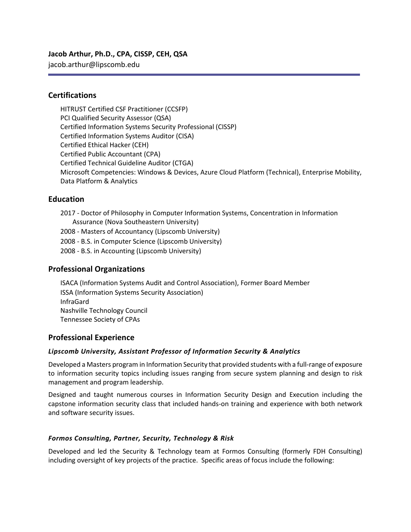# **Jacob Arthur, Ph.D., CPA, CISSP, CEH, QSA**

jacob.arthur@lipscomb.edu

### **Certifications**

HITRUST Certified CSF Practitioner (CCSFP) PCI Qualified Security Assessor (QSA) Certified Information Systems Security Professional (CISSP) Certified Information Systems Auditor (CISA) Certified Ethical Hacker (CEH) Certified Public Accountant (CPA) Certified Technical Guideline Auditor (CTGA) Microsoft Competencies: Windows & Devices, Azure Cloud Platform (Technical), Enterprise Mobility, Data Platform & Analytics

# **Education**

- 2017 Doctor of Philosophy in Computer Information Systems, Concentration in Information Assurance (Nova Southeastern University)
- 2008 Masters of Accountancy (Lipscomb University)
- 2008 B.S. in Computer Science (Lipscomb University)
- 2008 B.S. in Accounting (Lipscomb University)

# **Professional Organizations**

ISACA (Information Systems Audit and Control Association), Former Board Member ISSA (Information Systems Security Association) InfraGard Nashville Technology Council Tennessee Society of CPAs

# **Professional Experience**

#### *Lipscomb University, Assistant Professor of Information Security & Analytics*

Developed a Masters program in Information Security that provided students with a full-range of exposure to information security topics including issues ranging from secure system planning and design to risk management and program leadership.

Designed and taught numerous courses in Information Security Design and Execution including the capstone information security class that included hands-on training and experience with both network and software security issues.

#### *Formos Consulting, Partner, Security, Technology & Risk*

Developed and led the Security & Technology team at Formos Consulting (formerly FDH Consulting) including oversight of key projects of the practice. Specific areas of focus include the following: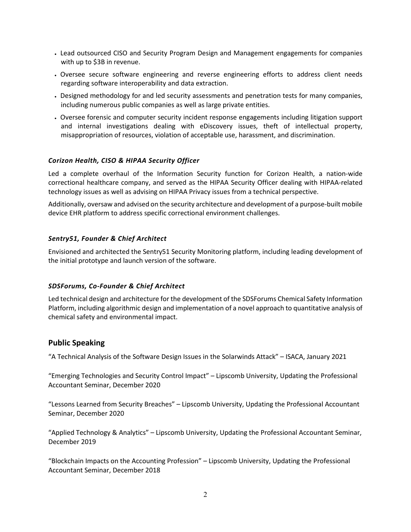- Lead outsourced CISO and Security Program Design and Management engagements for companies with up to \$3B in revenue.
- Oversee secure software engineering and reverse engineering efforts to address client needs regarding software interoperability and data extraction.
- Designed methodology for and led security assessments and penetration tests for many companies, including numerous public companies as well as large private entities.
- Oversee forensic and computer security incident response engagements including litigation support and internal investigations dealing with eDiscovery issues, theft of intellectual property, misappropriation of resources, violation of acceptable use, harassment, and discrimination.

### *Corizon Health, CISO & HIPAA Security Officer*

Led a complete overhaul of the Information Security function for Corizon Health, a nation-wide correctional healthcare company, and served as the HIPAA Security Officer dealing with HIPAA-related technology issues as well as advising on HIPAA Privacy issues from a technical perspective.

Additionally, oversaw and advised on the security architecture and development of a purpose-built mobile device EHR platform to address specific correctional environment challenges.

### *Sentry51, Founder & Chief Architect*

Envisioned and architected the Sentry51 Security Monitoring platform, including leading development of the initial prototype and launch version of the software.

#### *SDSForums, Co-Founder & Chief Architect*

Led technical design and architecture for the development of the SDSForums Chemical Safety Information Platform, including algorithmic design and implementation of a novel approach to quantitative analysis of chemical safety and environmental impact.

# **Public Speaking**

"A Technical Analysis of the Software Design Issues in the Solarwinds Attack" – ISACA, January 2021

"Emerging Technologies and Security Control Impact" – Lipscomb University, Updating the Professional Accountant Seminar, December 2020

"Lessons Learned from Security Breaches" – Lipscomb University, Updating the Professional Accountant Seminar, December 2020

"Applied Technology & Analytics" – Lipscomb University, Updating the Professional Accountant Seminar, December 2019

"Blockchain Impacts on the Accounting Profession" – Lipscomb University, Updating the Professional Accountant Seminar, December 2018